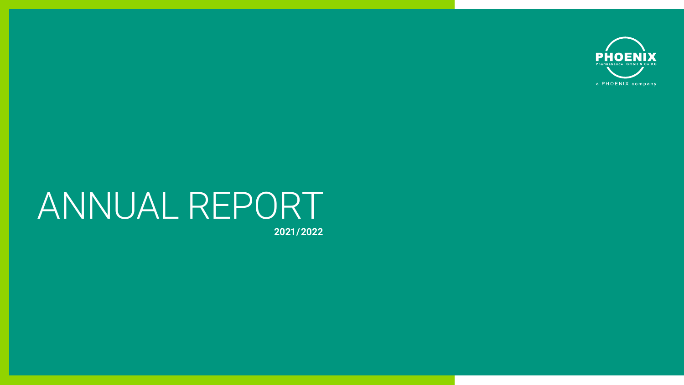

# ANNUAL REPORT

**2021 / 2022**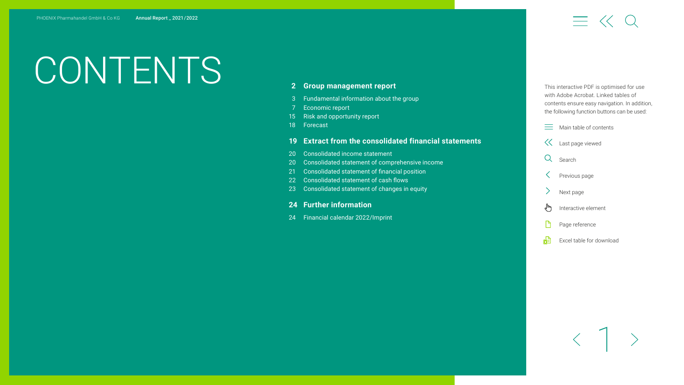# CONTENTS **2 Group [management](#page-2-0) report**

# $\equiv$   $\ll$  0

- [3 Fundamental](#page-3-0) information about the group
- [7 Economic](#page-7-0) report
- 15 Risk and [opportunity](#page-15-0) report
- [18 Forecast](#page-18-0)

#### **19 Extract from the [consolidated](#page-19-0) financial statements**

- 20 Consolidated income statement
- 20 Consolidated statement of comprehensive income
- 21 Consolidated statement of financial position
- 22 Consolidated statement of cash flows
- 23 Consolidated statement of changes in equity

#### **24 Further [information](#page-24-0)**

[24 Financial](#page-24-0) calendar 2022/Imprint

This interactive PDF is optimised for use with Adobe Acrobat. Linked tables of contents ensure easy navigation. In addition, the following function buttons can be used:

- $\equiv$  Main table of contents
- Last page viewed
- Q Search
- Previous page
- Next page
- վայ Interactive element
- Page reference
- 喦 Excel table for download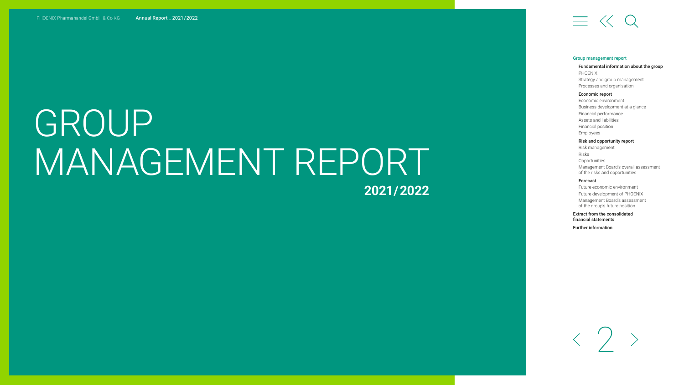# <span id="page-2-0"></span>GROUP MANAGEMENT REPORT **2021 / 2022**

# $\equiv$   $\ll$  Q

#### Group management report

#### [Fundamental information about the group](#page-3-0) PHOENIX [Strategy and group management](#page-5-0) [Processes and organisation](#page-6-0)

#### [Economic report](#page-7-0)

[Economic environment](#page-7-0)  [Business development at a glance](#page-8-0) [Financial performance](#page-9-0) [Assets and liabilities](#page-11-0) [Financial position](#page-12-0) [Employees](#page-13-0)

#### [Risk and opportunity report](#page-15-0)

[Risk management](#page-15-0) Risks **[Opportunities](#page-17-0)** [Management Board's overall assessment](#page-17-0)  of the risks and opportunities

#### [Forecast](#page-18-0)

[Future economic environment](#page-18-0) [Future development of PHOENIX](#page-18-0) [Management Board's assessment](#page-18-0)  of the group's future position

[Extract from the consolidated](#page-19-0)  financial statements

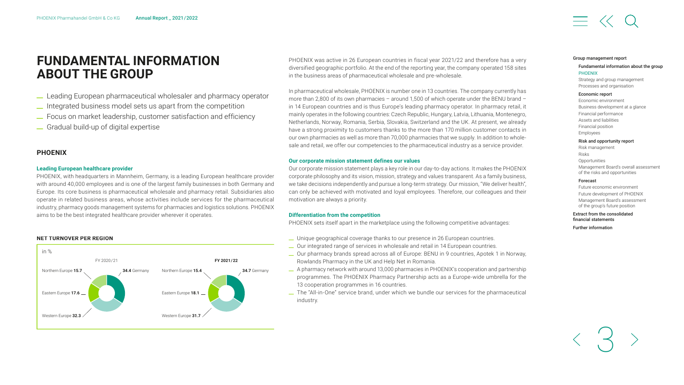## <span id="page-3-0"></span>**FUNDAMENTAL INFORMATION ABOUT THE GROUP**

- \_ Leading European pharmaceutical wholesaler and pharmacy operator
- \_ Integrated business model sets us apart from the competition
- \_ Focus on market leadership, customer satisfaction and efficiency \_ Gradual build-up of digital expertise

#### **PHOENIX**

#### **Leading European healthcare provider**

PHOENIX, with headquarters in Mannheim, Germany, is a leading European healthcare provider with around 40,000 employees and is one of the largest family businesses in both Germany and Europe. Its core business is pharmaceutical wholesale and pharmacy retail. Subsidiaries also operate in related business areas, whose activities include services for the pharmaceutical industry, pharmacy goods management systems for pharmacies and logistics solutions. PHOENIX aims to be the best integrated healthcare provider wherever it operates.

#### **NET TURNOVER PER REGION**



PHOENIX was active in 26 European countries in fiscal year 2021/22 and therefore has a very diversified geographic portfolio. At the end of the reporting year, the company operated 158 sites in the business areas of pharmaceutical wholesale and pre-wholesale.

In pharmaceutical wholesale, PHOENIX is number one in 13 countries. The company currently has more than 2,800 of its own pharmacies – around 1,500 of which operate under the BENU brand – in 14 European countries and is thus Europe's leading pharmacy operator. In pharmacy retail, it mainly operates in the following countries: Czech Republic, Hungary, Latvia, Lithuania, Montenegro, Netherlands, Norway, Romania, Serbia, Slovakia, Switzerland and the UK. At present, we already have a strong proximity to customers thanks to the more than 170 million customer contacts in our own pharmacies as well as more than 70,000 pharmacies that we supply. In addition to wholesale and retail, we offer our competencies to the pharmaceutical industry as a service provider.

#### **Our corporate mission statement defines our values**

Our corporate mission statement plays a key role in our day-to-day actions. It makes the PHOENIX corporate philosophy and its vision, mission, strategy and values transparent. As a family business, we take decisions independently and pursue a long-term strategy. Our mission, "We deliver health", can only be achieved with motivated and loyal employees. Therefore, our colleagues and their motivation are always a priority.

#### **Differentiation from the competition**

PHOENIX sets itself apart in the marketplace using the following competitive advantages:

- \_ Unique geographical coverage thanks to our presence in 26 European countries.
- \_ Our integrated range of services in wholesale and retail in 14 European countries.
- \_ Our pharmacy brands spread across all of Europe: BENU in 9 countries, Apotek 1 in Norway, Rowlands Pharmacy in the UK and Help Net in Romania.
- \_ A pharmacy network with around 13,000 pharmacies in PHOENIX's cooperation and partnership programmes. The PHOENIX Pharmacy Partnership acts as a Europe-wide umbrella for the 13 cooperation programmes in 16 countries.
- \_ The "All-in-One" service brand, under which we bundle our services for the pharmaceutical industry.

#### [Group management report](#page-2-0)

#### Fundamental information about the group PHOENIX

[Strategy and group management](#page-5-0) [Processes and organisation](#page-6-0)

#### [Economic report](#page-7-0)

[Economic environment](#page-7-0)  [Business development at a glance](#page-8-0) [Financial performance](#page-9-0) [Assets and liabilities](#page-11-0) [Financial position](#page-12-0) [Employees](#page-13-0)

#### [Risk and opportunity report](#page-15-0)

[Risk management](#page-15-0) Risks **[Opportunities](#page-17-0)** [Management Board's overall assessment](#page-17-0)  of the risks and opportunities

#### [Forecast](#page-18-0)

[Future economic environment](#page-18-0) [Future development of PHOENIX](#page-18-0) [Management Board's assessment](#page-18-0)  of the group's future position

#### [Extract from the consolidated](#page-19-0)  financial statements

3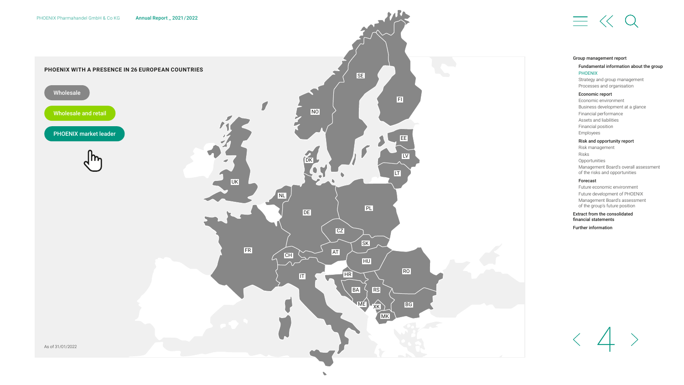





#### [Group management report](#page-2-0)

#### [Fundamental information about the group](#page-3-0) PHOENIX

[Strategy and group management](#page-5-0) [Processes and organisation](#page-6-0)

#### [Economic report](#page-7-0)

[Economic environment](#page-7-0)  [Business development at a glance](#page-8-0) [Financial performance](#page-9-0) [Assets and liabilities](#page-11-0) [Financial position](#page-12-0) [Employees](#page-13-0)

#### [Risk and opportunity report](#page-15-0)

[Risk management](#page-15-0) Risks [Opportunities](#page-17-0) [Management Board's overall assessment](#page-17-0)  of the risks and opportunities

#### [Forecast](#page-18-0)

[Future economic environment](#page-18-0) [Future development of PHOENIX](#page-18-0) [Management Board's assessment](#page-18-0)  of the group's future position

[Extract from the consolidated](#page-19-0)  financial statements

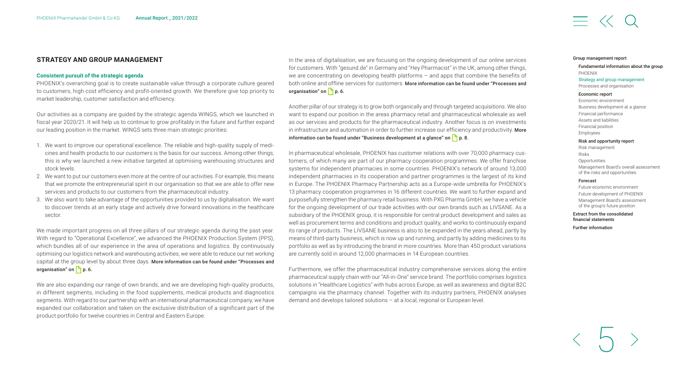#### <span id="page-5-0"></span>**STRATEGY AND GROUP MANAGEMENT**

#### **Consistent pursuit of the strategic agenda**

PHOENIX's overarching goal is to create sustainable value through a corporate culture geared to customers, high cost efficiency and profit-oriented growth. We therefore give top priority to market leadership, customer satisfaction and efficiency.

Our activities as a company are guided by the strategic agenda WINGS, which we launched in fiscal year 2020/21. It will help us to continue to grow profitably in the future and further expand our leading position in the market. WINGS sets three main strategic priorities:

- 1. We want to improve our operational excellence. The reliable and high-quality supply of medicines and health products to our customers is the basis for our success. Among other things, this is why we launched a new initiative targeted at optimising warehousing structures and stock levels.
- 2. We want to put our customers even more at the centre of our activities. For example, this means that we promote the entrepreneurial spirit in our organisation so that we are able to offer new services and products to our customers from the pharmaceutical industry.
- 3. We also want to take advantage of the opportunities provided to us by digitalisation. We want to discover trends at an early stage and actively drive forward innovations in the healthcare sector.

We made important progress on all three pillars of our strategic agenda during the past year. With regard to "Operational Excellence", we advanced the PHOENIX Production System (PPS), which bundles all of our experience in the area of operations and logistics. By continuously optimising our logistics network and warehousing activities, we were able to reduce our net working capital at the group level by about three days. [More information can be found under "Processes and](#page-6-0)  organisation" on  $\Box$  p. 6.

We are also expanding our range of own brands, and we are developing high-quality products, in different segments, including in the food supplements, medical products and diagnostics segments. With regard to our partnership with an international pharmaceutical company, we have expanded our collaboration and taken on the exclusive distribution of a significant part of the product portfolio for twelve countries in Central and Eastern Europe.

In the area of digitalisation, we are focusing on the ongoing development of our online services for customers. With "gesund.de" in Germany and "Hey Pharmacist" in the UK, among other things, we are concentrating on developing health platforms – and apps that combine the benefits of both online and offline services for customers. [More information can be found under "Processes and](#page-6-0)  organisation" on  $\Box$  p. 6.

Another pillar of our strategy is to grow both organically and through targeted acquisitions. We also want to expand our position in the areas pharmacy retail and pharmaceutical wholesale as well as our services and products for the pharmaceutical industry. Another focus is on investments in infrastructure and automation in order to further increase our efficiency and productivity. More information can be found under "Business development at a glance" on  $\Box$  p. 8.

In pharmaceutical wholesale, PHOENIX has customer relations with over 70,000 pharmacy customers, of which many are part of our pharmacy cooperation programmes. We offer franchise systems for independent pharmacies in some countries. PHOENIX's network of around 13,000 independent pharmacies in its cooperation and partner programmes is the largest of its kind in Europe. The PHOENIX Pharmacy Partnership acts as a Europe-wide umbrella for PHOENIX's 13 pharmacy cooperation programmes in 16 different countries. We want to further expand and purposefully strengthen the pharmacy retail business. With PXG Pharma GmbH, we have a vehicle for the ongoing development of our trade activities with our own brands such as LIVSANE. As a subsidiary of the PHOENIX group, it is responsible for central product development and sales as well as procurement terms and conditions and product quality, and works to continuously expand its range of products. The LIVSANE business is also to be expanded in the years ahead, partly by means of third-party business, which is now up and running, and partly by adding medicines to its portfolio as well as by introducing the brand in more countries. More than 450 product variations are currently sold in around 12,000 pharmacies in 14 European countries.

Furthermore, we offer the pharmaceutical industry comprehensive services along the entire pharmaceutical supply chain with our "All-in-One" service brand. The portfolio comprises logistics solutions in "Healthcare Logistics" with hubs across Europe, as well as awareness and digital B2C campaigns via the pharmacy channel. Together with its industry partners, PHOENIX analyses demand and develops tailored solutions – at a local, regional or European level.

#### [Group management report](#page-2-0)

#### [Fundamental information about the group](#page-3-0) PHOENIX

#### Strategy and group management [Processes and organisation](#page-6-0)

#### [Economic report](#page-7-0)

[Economic environment](#page-7-0)  [Business development at a glance](#page-8-0) [Financial performance](#page-9-0) [Assets and liabilities](#page-11-0) [Financial position](#page-12-0) [Employees](#page-13-0) [Risk and opportunity report](#page-15-0)

[Risk management](#page-15-0) Risks **[Opportunities](#page-17-0)** [Management Board's overall assessment](#page-17-0)  of the risks and opportunities

#### [Forecast](#page-18-0)

[Future economic environment](#page-18-0) [Future development of PHOENIX](#page-18-0) [Management Board's assessment](#page-18-0)  of the group's future position

[Extract from the consolidated](#page-19-0)  financial statements

5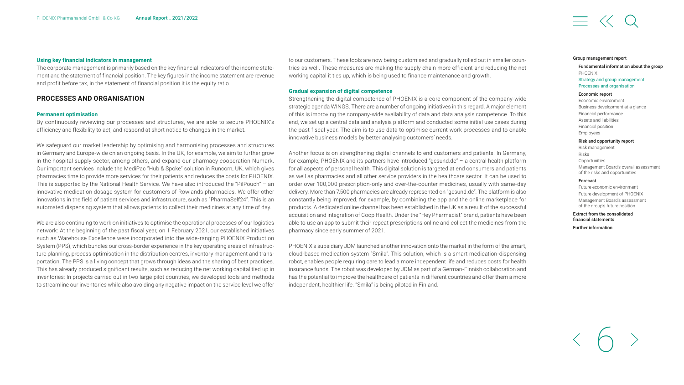#### <span id="page-6-0"></span>**Using key financial indicators in management**

The corporate management is primarily based on the key financial indicators of the income statement and the statement of financial position. The key figures in the income statement are revenue and profit before tax, in the statement of financial position it is the equity ratio.

#### **PROCESSES AND ORGANISATION**

#### **Permanent optimisation**

By continuously reviewing our processes and structures, we are able to secure PHOENIX's efficiency and flexibility to act, and respond at short notice to changes in the market.

We safeguard our market leadership by optimising and harmonising processes and structures in Germany and Europe-wide on an ongoing basis. In the UK, for example, we aim to further grow in the hospital supply sector, among others, and expand our pharmacy cooperation Numark. Our important services include the MediPac "Hub & Spoke" solution in Runcorn, UK, which gives pharmacies time to provide more services for their patients and reduces the costs for PHOENIX. This is supported by the National Health Service. We have also introduced the "PilPouch" – an innovative medication dosage system for customers of Rowlands pharmacies. We offer other innovations in the field of patient services and infrastructure, such as "PharmaSelf24". This is an automated dispensing system that allows patients to collect their medicines at any time of day.

We are also continuing to work on initiatives to optimise the operational processes of our logistics network: At the beginning of the past fiscal year, on 1 February 2021, our established initiatives such as Warehouse Excellence were incorporated into the wide-ranging PHOENIX Production System (PPS), which bundles our cross-border experience in the key operating areas of infrastructure planning, process optimisation in the distribution centres, inventory management and transportation. The PPS is a living concept that grows through ideas and the sharing of best practices. This has already produced significant results, such as reducing the net working capital tied up in inventories: In projects carried out in two large pilot countries, we developed tools and methods to streamline our inventories while also avoiding any negative impact on the service level we offer

to our customers. These tools are now being customised and gradually rolled out in smaller countries as well. These measures are making the supply chain more efficient and reducing the net working capital it ties up, which is being used to finance maintenance and growth.

#### **Gradual expansion of digital competence**

Strengthening the digital competence of PHOENIX is a core component of the company-wide strategic agenda WINGS. There are a number of ongoing initiatives in this regard. A major element of this is improving the company-wide availability of data and data analysis competence. To this end, we set up a central data and analysis platform and conducted some initial use cases during the past fiscal year. The aim is to use data to optimise current work processes and to enable innovative business models by better analysing customers' needs.

Another focus is on strengthening digital channels to end customers and patients. In Germany, for example, PHOENIX and its partners have introduced "gesund.de" – a central health platform for all aspects of personal health. This digital solution is targeted at end consumers and patients as well as pharmacies and all other service providers in the healthcare sector. It can be used to order over 100,000 prescription-only and over-the-counter medicines, usually with same-day delivery. More than 7,500 pharmacies are already represented on "gesund.de". The platform is also constantly being improved, for example, by combining the app and the online marketplace for products. A dedicated online channel has been established in the UK as a result of the successful acquisition and integration of Coop Health. Under the "Hey Pharmacist" brand, patients have been able to use an app to submit their repeat prescriptions online and collect the medicines from the pharmacy since early summer of 2021.

PHOENIX's subsidiary JDM launched another innovation onto the market in the form of the smart, cloud-based medication system "Smila". This solution, which is a smart medication-dispensing robot, enables people requiring care to lead a more independent life and reduces costs for health insurance funds. The robot was developed by JDM as part of a German-Finnish collaboration and has the potential to improve the healthcare of patients in different countries and offer them a more independent, healthier life. "Smila" is being piloted in Finland.

#### [Group management report](#page-2-0)

#### [Fundamental information about the group](#page-3-0) PHOENIX

#### Strategy and group [management](#page-5-0) Processes and organisation

#### [Economic report](#page-7-0)

[Economic environment](#page-7-0)  [Business development at a glance](#page-8-0) [Financial performance](#page-9-0) [Assets and liabilities](#page-11-0) [Financial position](#page-12-0) [Employees](#page-13-0)

#### [Risk and opportunity report](#page-15-0) [Risk management](#page-15-0)

Risks **[Opportunities](#page-17-0)** [Management Board's overall assessment](#page-17-0)  of the risks and opportunities

#### [Forecast](#page-18-0)

[Future economic environment](#page-18-0) [Future development of PHOENIX](#page-18-0) [Management Board's assessment](#page-18-0)  of the group's future position

[Extract from the consolidated](#page-19-0)  financial statements

6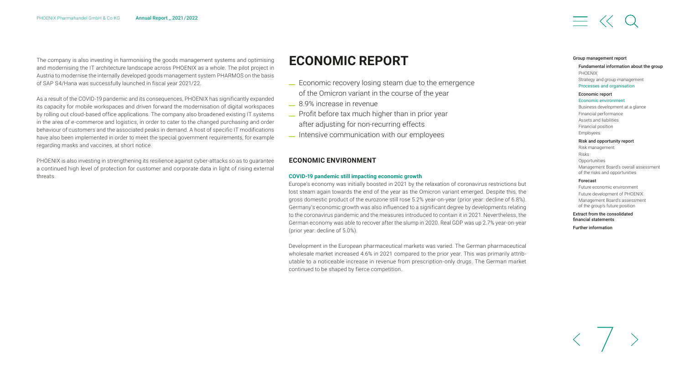<span id="page-7-0"></span>The company is also investing in harmonising the goods management systems and optimising and modernising the IT architecture landscape across PHOENIX as a whole. The pilot project in Austria to modernise the internally developed goods management system PHARMOS on the basis of SAP S4/Hana was successfully launched in fiscal year 2021/22.

As a result of the COVID-19 pandemic and its consequences, PHOENIX has significantly expanded its capacity for mobile workspaces and driven forward the modernisation of digital workspaces by rolling out cloud-based office applications. The company also broadened existing IT systems in the area of e-commerce and logistics, in order to cater to the changed purchasing and order behaviour of customers and the associated peaks in demand. A host of specific IT modifications have also been implemented in order to meet the special government requirements, for example regarding masks and vaccines, at short notice.

PHOENIX is also investing in strengthening its resilience against cyber-attacks so as to guarantee a continued high level of protection for customer and corporate data in light of rising external threats.

### **ECONOMIC REPORT**

- \_ Economic recovery losing steam due to the emergence of the Omicron variant in the course of the year
- \_ 8.9% increase in revenue
- \_ Profit before tax much higher than in prior year after adjusting for non-recurring effects
- \_ Intensive communication with our employees

#### **ECONOMIC ENVIRONMENT**

#### **COVID-19 pandemic still impacting economic growth**

Europe's economy was initially boosted in 2021 by the relaxation of coronavirus restrictions but lost steam again towards the end of the year as the Omicron variant emerged. Despite this, the gross domestic product of the eurozone still rose 5.2% year-on-year (prior year: decline of 6.8%). Germany's economic growth was also influenced to a significant degree by developments relating to the coronavirus pandemic and the measures introduced to contain it in 2021. Nevertheless, the German economy was able to recover after the slump in 2020. Real GDP was up 2.7% year-on-year (prior year: decline of 5.0%).

Development in the European pharmaceutical markets was varied. The German pharmaceutical wholesale market increased 4.6% in 2021 compared to the prior year. This was primarily attributable to a noticeable increase in revenue from prescription-only drugs. The German market continued to be shaped by fierce competition.

#### [Group management report](#page-2-0)

#### [Fundamental information about the group](#page-3-0) PHOENIX [Strategy and group management](#page-5-0) Processes and [organisation](#page-6-0)

#### Economic report

#### Economic environment

[Business development at a glance](#page-8-0) [Financial performance](#page-9-0) [Assets and liabilities](#page-11-0) [Financial position](#page-12-0) [Employees](#page-13-0)

[Risk and opportunity report](#page-15-0) [Risk management](#page-15-0) Risks **[Opportunities](#page-17-0)** [Management Board's overall assessment](#page-17-0)  of the risks and opportunities

#### [Forecast](#page-18-0)

[Future economic environment](#page-18-0) [Future development of PHOENIX](#page-18-0) [Management Board's assessment](#page-18-0)  of the group's future position

[Extract from the consolidated](#page-19-0)  financial statements

7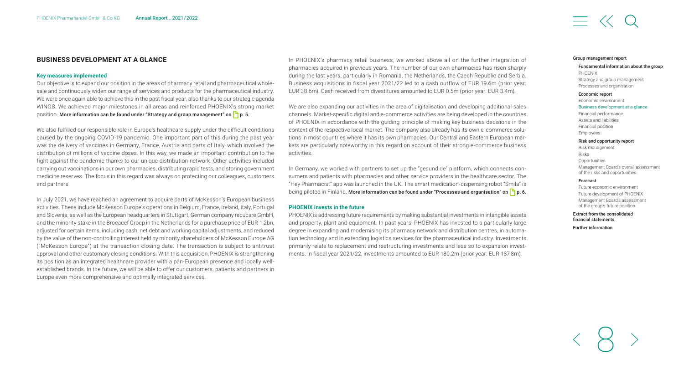#### <span id="page-8-0"></span>**BUSINESS DEVELOPMENT AT A GLANCE**

#### **Key measures implemented**

Our objective is to expand our position in the areas of pharmacy retail and pharmaceutical wholesale and continuously widen our range of services and products for the pharmaceutical industry. We were once again able to achieve this in the past fiscal year, also thanks to our strategic agenda WINGS. We achieved major milestones in all areas and reinforced PHOENIX's strong market position. More information can be found under "Strategy and group management" on  $\Box$  p. 5.

We also fulfilled our responsible role in Europe's healthcare supply under the difficult conditions caused by the ongoing COVID-19 pandemic. One important part of this during the past year was the delivery of vaccines in Germany, France, Austria and parts of Italy, which involved the distribution of millions of vaccine doses. In this way, we made an important contribution to the fight against the pandemic thanks to our unique distribution network. Other activities included carrying out vaccinations in our own pharmacies, distributing rapid tests, and storing government medicine reserves. The focus in this regard was always on protecting our colleagues, customers and partners.

In July 2021, we have reached an agreement to acquire parts of McKesson's European business activities. These include McKesson Europe's operations in Belgium, France, Ireland, Italy, Portugal and Slovenia, as well as the European headquarters in Stuttgart, German company recucare GmbH, and the minority stake in the Brocacef Groep in the Netherlands for a purchase price of EUR 1.2bn, adjusted for certain items, including cash, net debt and working capital adjustments, and reduced by the value of the non-controlling interest held by minority shareholders of McKesson Europe AG ("McKesson Europe") at the transaction closing date. The transaction is subject to antitrust approval and other customary closing conditions. With this acquisition, PHOENIX is strengthening its position as an integrated healthcare provider with a pan-European presence and locally wellestablished brands. In the future, we will be able to offer our customers, patients and partners in Europe even more comprehensive and optimally integrated services.

In PHOENIX's pharmacy retail business, we worked above all on the further integration of pharmacies acquired in previous years. The number of our own pharmacies has risen sharply during the last years, particularly in Romania, the Netherlands, the Czech Republic and Serbia. Business acquisitions in fiscal year 2021/22 led to a cash outflow of EUR 19.6m (prior year: EUR 38.6m). Cash received from divestitures amounted to EUR 0.5m (prior year: EUR 3.4m).

We are also expanding our activities in the area of digitalisation and developing additional sales channels. Market-specific digital and e-commerce activities are being developed in the countries of PHOENIX in accordance with the guiding principle of making key business decisions in the context of the respective local market. The company also already has its own e-commerce solutions in most countries where it has its own pharmacies. Our Central and Eastern European markets are particularly noteworthy in this regard on account of their strong e-commerce business activities.

In Germany, we worked with partners to set up the "gesund.de" platform, which connects consumers and patients with pharmacies and other service providers in the healthcare sector. The "Hey Pharmacist" app was launched in the UK. The smart medication-dispensing robot "Smila" is being piloted in Finland. More information can be found under "Processes and organisation" on  $\Box$  p. 6.

#### **PHOENIX invests in the future**

PHOENIX is addressing future requirements by making substantial investments in intangible assets and property, plant and equipment. In past years, PHOENIX has invested to a particularly large degree in expanding and modernising its pharmacy network and distribution centres, in automation technology and in extending logistics services for the pharmaceutical industry. Investments primarily relate to replacement and restructuring investments and less so to expansion investments. In fiscal year 2021/22, investments amounted to EUR 180.2m (prior year: EUR 187.8m).

#### [Group management report](#page-2-0)

#### [Fundamental information about the group](#page-3-0) PHOENIX

[Strategy and group management](#page-5-0) [Processes and organisation](#page-6-0)

#### [Economic report](#page-7-0)

[Economic environment](#page-7-0) 

#### Business development at a glance

[Financial performance](#page-9-0) [Assets and liabilities](#page-11-0) [Financial position](#page-12-0) [Employees](#page-13-0)

#### [Risk and opportunity report](#page-15-0)

[Risk management](#page-15-0) Risks **[Opportunities](#page-17-0)** [Management Board's overall assessment](#page-17-0)  of the risks and opportunities

#### [Forecast](#page-18-0)

[Future economic environment](#page-18-0) [Future development of PHOENIX](#page-18-0) [Management Board's assessment](#page-18-0)  of the group's future position

#### [Extract from the consolidated](#page-19-0)  financial statements

8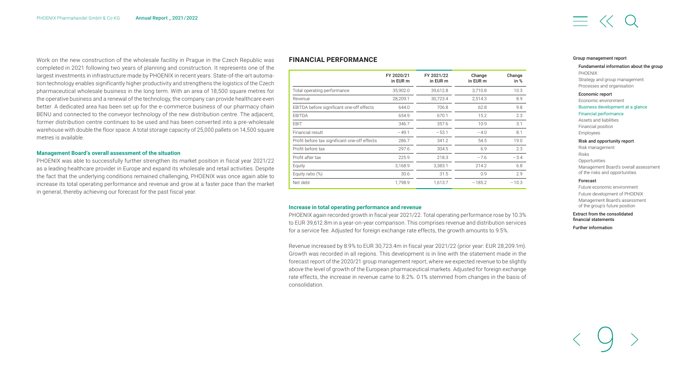<span id="page-9-0"></span>Work on the new construction of the wholesale facility in Prague in the Czech Republic was completed in 2021 following two years of planning and construction. It represents one of the largest investments in infrastructure made by PHOENIX in recent years. State-of-the-art automation technology enables significantly higher productivity and strengthens the logistics of the Czech pharmaceutical wholesale business in the long term. With an area of 18,500 square metres for the operative business and a renewal of the technology, the company can provide healthcare even better. A dedicated area has been set up for the e-commerce business of our pharmacy chain BENU and connected to the conveyor technology of the new distribution centre. The adjacent, former distribution centre continues to be used and has been converted into a pre-wholesale warehouse with double the floor space. A total storage capacity of 25,000 pallets on 14,500 square metres is available.

#### **Management Board's overall assessment of the situation**

PHOENIX was able to successfully further strengthen its market position in fiscal year 2021/22 as a leading healthcare provider in Europe and expand its wholesale and retail activities. Despite the fact that the underlying conditions remained challenging, PHOENIX was once again able to increase its total operating performance and revenue and grow at a faster pace than the market in general, thereby achieving our forecast for the past fiscal year.

#### **FINANCIAL PERFORMANCE**

|                                               | FY 2020/21<br>in EUR m | FY 2021/22<br>in EUR m | Change<br>in EUR m | Change<br>in % |
|-----------------------------------------------|------------------------|------------------------|--------------------|----------------|
| Total operating performance                   | 35,902.0               | 39,612.8               | 3.710.8            | 10.3           |
| Revenue                                       | 28,209.1               | 30,723.4               | 2.514.3            | 8.9            |
| EBITDA before significant one-off effects     | 644.0                  | 706.8                  | 62.8               | 9.8            |
| <b>FBITDA</b>                                 | 654.9                  | 670.1                  | 15.2               | 2.3            |
| EBIT                                          | 346.7                  | 357.6                  | 10.9               | 3.1            |
| Financial result                              | $-49.1$                | $-53.1$                | $-4.0$             | 8.1            |
| Profit before tax significant one-off effects | 286.7                  | 341.2                  | 54.5               | 19.0           |
| Profit before tax                             | 297.6                  | 304.5                  | 6.9                | 2.3            |
| Profit after tax                              | 225.9                  | 218.3                  | $-7.6$             | $-3.4$         |
| Equity                                        | 3,168.9                | 3,383.1                | 214.2              | 6.8            |
| Equity ratio (%)                              | 30.6                   | 31.5                   | 0.9                | 2.9            |
| Net debt                                      | 1.798.9                | 1,613.7                | $-185.2$           | $-10.3$        |

#### **Increase in total operating performance and revenue**

PHOENIX again recorded growth in fiscal year 2021/22. Total operating performance rose by 10.3% to EUR 39,612.8m in a year-on-year comparison. This comprises revenue and distribution services for a service fee. Adjusted for foreign exchange rate effects, the growth amounts to 9.5%.

Revenue increased by 8.9% to EUR 30,723.4m in fiscal year 2021/22 (prior year: EUR 28,209.1m). Growth was recorded in all regions. This development is in line with the statement made in the forecast report of the 2020/21 group management report, where we expected revenue to be slightly above the level of growth of the European pharmaceutical markets. Adjusted for foreign exchange rate effects, the increase in revenue came to 8.2%. 0.1% stemmed from changes in the basis of consolidation.

#### [Group management report](#page-2-0)

#### [Fundamental information about the group](#page-3-0) PHOENIX

[Strategy and group management](#page-5-0) [Processes and organisation](#page-6-0)

#### [Economic report](#page-7-0)

[Economic environment](#page-7-0)  Business [development](#page-8-0) at a glance

#### Financial performance

[Assets and liabilities](#page-11-0) [Financial position](#page-12-0) [Employees](#page-13-0)

#### [Risk and opportunity report](#page-15-0)

[Risk management](#page-15-0) Risks **[Opportunities](#page-17-0)** [Management Board's overall assessment](#page-17-0)  of the risks and opportunities

#### [Forecast](#page-18-0)

[Future economic environment](#page-18-0) [Future development of PHOENIX](#page-18-0) [Management Board's assessment](#page-18-0)  of the group's future position

#### [Extract from the consolidated](#page-19-0)  financial statements

9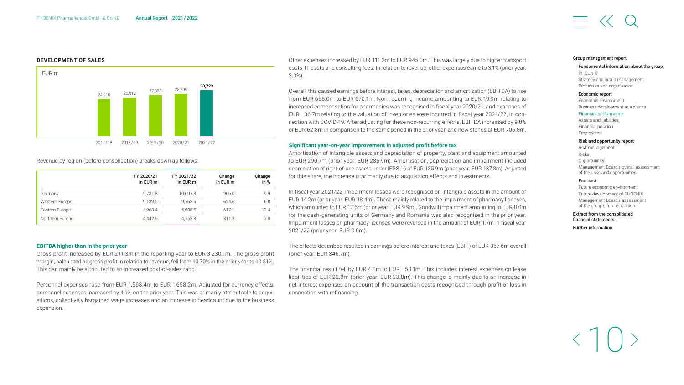#### **DEVELOPMENT OF SALES**



Revenue by region (before consolidation) breaks down as follows:

|                 | FY 2020/21<br>in EUR m | FY 2021/22<br>in EUR m | Change<br>in EUR m | Change<br>in $%$ |
|-----------------|------------------------|------------------------|--------------------|------------------|
| Germany         | 9.731.8                | 10.697.8               | 966.0              | 9.9              |
| Western Europe  | 9.139.0                | 9.763.6                | 624.6              | 6.8              |
| Eastern Europe  | 4.968.4                | 5.585.5                | 617.1              | 12.4             |
| Northern Europe | 4.442.5                | 4,753.8                | 311.3              | 7.0              |

#### **EBITDA higher than in the prior year**

Gross profit increased by EUR 211.3m in the reporting year to EUR 3,230.1m. The gross profit margin, calculated as gross profit in relation to revenue, fell from 10.70% in the prior year to 10.51%. This can mainly be attributed to an increased cost-of-sales ratio.

Personnel expenses rose from EUR 1,568.4m to EUR 1,658.2m. Adjusted for currency effects, personnel expenses increased by 4.1% on the prior year. This was primarily attributable to acquisitions, collectively bargained wage increases and an increase in headcount due to the business expansion.

Other expenses increased by EUR 111.3m to EUR 945.0m. This was largely due to higher transport costs, IT costs and consulting fees. In relation to revenue, other expenses came to 3.1% (prior year: 3.0%).

Overall, this caused earnings before interest, taxes, depreciation and amortisation (EBITDA) to rise from EUR 655.0m to EUR 670.1m. Non-recurring income amounting to EUR 10.9m relating to increased compensation for pharmacies was recognised in fiscal year 2020/21, and expenses of EUR –36.7m relating to the valuation of inventories were incurred in fiscal year 2021/22, in connection with COVID-19. After adjusting for these non-recurring effects, EBITDA increased by 9.8% or EUR 62.8m in comparison to the same period in the prior year, and now stands at EUR 706.8m.

#### **Significant year-on-year improvement in adjusted profit before tax**

Amortisation of intangible assets and depreciation of property, plant and equipment amounted to EUR 290.7m (prior year: EUR 285.9m). Amortisation, depreciation and impairment included depreciation of right-of-use assets under IFRS 16 of EUR 135.9m (prior year: EUR 137.3m). Adjusted for this share, the increase is primarily due to acquisition effects and investments.

In fiscal year 2021/22, impairment losses were recognised on intangible assets in the amount of EUR 14.2m (prior year: EUR 18.4m). These mainly related to the impairment of pharmacy licenses, which amounted to EUR 12.6m (prior year: EUR 9.9m). Goodwill impairment amounting to EUR 8.0m for the cash-generating units of Germany and Romania was also recognised in the prior year. Impairment losses on pharmacy licenses were reversed in the amount of EUR 1.7m in fiscal year 2021/22 (prior year: EUR 0.0m).

The effects described resulted in earnings before interest and taxes (EBIT) of EUR 357.6m overall (prior year: EUR 346.7m).

The financial result fell by EUR 4.0m to EUR –53.1m. This includes interest expenses on lease liabilities of EUR 22.8m (prior year: EUR 23.8m). This change is mainly due to an increase in net interest expenses on account of the transaction costs recognised through profit or loss in connection with refinancing.

#### [Group management report](#page-2-0)

[Fundamental information about the group](#page-3-0) PHOENIX [Strategy and group management](#page-5-0) [Processes and organisation](#page-6-0)

#### [Economic report](#page-7-0)

[Economic environment](#page-7-0)  [Business development at a glance](#page-8-0) Financial [performance](#page-9-0) [Assets and liabilities](#page-11-0) [Financial position](#page-12-0)

#### [Risk and opportunity report](#page-15-0)

[Risk management](#page-15-0) Risks **[Opportunities](#page-17-0)** [Management Board's overall assessment](#page-17-0)  of the risks and opportunities

#### [Forecast](#page-18-0)

[Employees](#page-13-0)

[Future economic environment](#page-18-0) [Future development of PHOENIX](#page-18-0) [Management Board's assessment](#page-18-0)  of the group's future position

[Extract from the consolidated](#page-19-0)  financial statements

10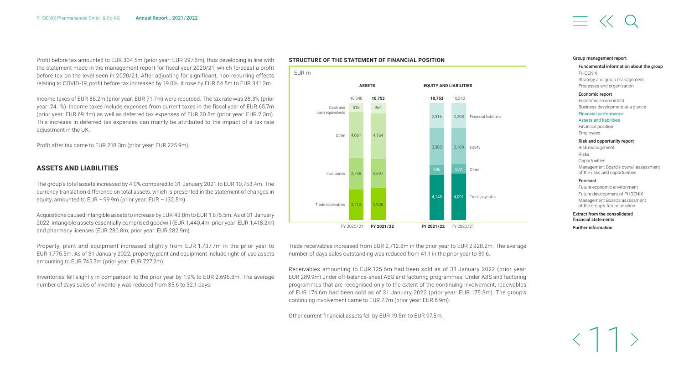<span id="page-11-0"></span>Profit before tax amounted to EUR 304.5m (prior year: EUR 297.6m), thus developing in line with the statement made in the management report for fiscal year 2020/21, which forecast a profit before tax on the level seen in 2020/21. After adjusting for significant, non-recurring effects relating to COVID-19, profit before tax increased by 19.0%. It rose by EUR 54.5m to EUR 341.2m.

Income taxes of EUR 86.2m (prior year: EUR 71.7m) were recorded. The tax rate was 28.3% (prior year: 24.1%). Income taxes include expenses from current taxes in the fiscal year of EUR 65.7m (prior year: EUR 69.4m) as well as deferred tax expenses of EUR 20.5m (prior year: EUR 2.3m). This increase in deferred tax expenses can mainly be attributed to the impact of a tax rate adjustment in the UK.

Profit after tax came to EUR 218.3m (prior year: EUR 225.9m).

#### **ASSETS AND LIABILITIES**

The group's total assets increased by 4.0% compared to 31 January 2021 to EUR 10,753.4m. The currency translation difference on total assets, which is presented in the statement of changes in equity, amounted to EUR – 99.9m (prior year: EUR – 132.5m).

Acquisitions caused intangible assets to increase by EUR 43.8m to EUR 1,876.5m. As of 31 January 2022, intangible assets essentially comprised goodwill (EUR 1,440.4m; prior year: EUR 1,418.2m) and pharmacy licenses (EUR 280.8m; prior year: EUR 282.9m).

Property, plant and equipment increased slightly from EUR 1,737.7m in the prior year to EUR 1,775.5m. As of 31 January 2022, property, plant and equipment include right-of-use assets amounting to EUR 745.7m (prior year: EUR 727.2m).

Inventories fell slightly in comparison to the prior year by 1.9% to EUR 2,696.8m. The average number of days sales of inventory was reduced from 35.6 to 32.1 days.

#### **STRUCTURE OF THE STATEMENT OF FINANCIAL POSITION**



Trade receivables increased from EUR 2,712.8m in the prior year to EUR 2,928.2m. The average number of days sales outstanding was reduced from 41.1 in the prior year to 39.6.

Receivables amounting to EUR 125.6m had been sold as of 31 January 2022 (prior year: EUR 289.9m) under off-balance-sheet ABS and factoring programmes. Under ABS and factoring programmes that are recognised only to the extent of the continuing involvement, receivables of EUR 174.6m had been sold as of 31 January 2022 (prior year: EUR 175.3m). The group's continuing involvement came to EUR 7.7m (prior year: EUR 6.9m).

Other current financial assets fell by EUR 19.5m to EUR 97.5m.

#### [Group management report](#page-2-0)

#### [Fundamental information about the group](#page-3-0) PHOENIX [Strategy and group management](#page-5-0) [Processes and organisation](#page-6-0)

#### [Economic report](#page-7-0)

[Economic environment](#page-7-0)  [Business development at a glance](#page-8-0) Financial [performance](#page-9-0) Assets and liabilities [Financial position](#page-12-0) [Employees](#page-13-0)

#### [Risk and opportunity report](#page-15-0)

[Risk management](#page-15-0) Risks **[Opportunities](#page-17-0)** [Management Board's overall assessment](#page-17-0)  of the risks and opportunities

#### [Forecast](#page-18-0)

[Future economic environment](#page-18-0) [Future development of PHOENIX](#page-18-0) [Management Board's assessment](#page-18-0)  of the group's future position

#### [Extract from the consolidated](#page-19-0)  financial statements

11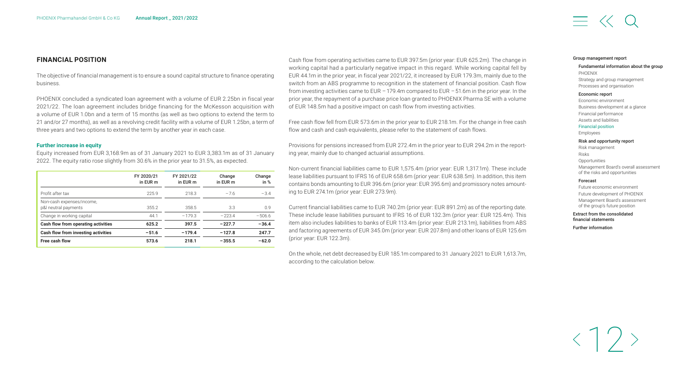#### <span id="page-12-0"></span>**FINANCIAL POSITION**

The objective of financial management is to ensure a sound capital structure to finance operating business.

PHOENIX concluded a syndicated loan agreement with a volume of EUR 2.25bn in fiscal year 2021/22. The loan agreement includes bridge financing for the McKesson acquisition with a volume of EUR 1.0bn and a term of 15 months (as well as two options to extend the term to 21 and/or 27 months), as well as a revolving credit facility with a volume of EUR 1.25bn, a term of three years and two options to extend the term by another year in each case.

#### **Further increase in equity**

Equity increased from EUR 3,168.9m as of 31 January 2021 to EUR 3,383.1m as of 31 January 2022. The equity ratio rose slightly from 30.6% in the prior year to 31.5%, as expected.

|                                                   | FY 2020/21<br>in EUR m | FY 2021/22<br>in EUR m | Change<br>in EUR m | Change<br>in $%$ |
|---------------------------------------------------|------------------------|------------------------|--------------------|------------------|
| Profit after tax                                  | 225.9                  | 218.3                  | $-7.6$             | $-3.4$           |
| Non-cash expenses/income,<br>p&l neutral payments | 355.2                  | 358.5                  | 3.3                | 0.9              |
| Change in working capital                         | 44.1                   | $-179.3$               | $-223.4$           | $-506.6$         |
| Cash flow from operating activities               | 625.2                  | 397.5                  | $-227.7$           | $-36.4$          |
| Cash flow from investing activities               | $-51.6$                | $-179.4$               | $-127.8$           | 247.7            |
| <b>Free cash flow</b>                             | 573.6                  | 218.1                  | $-355.5$           | $-62.0$          |

Cash flow from operating activities came to EUR 397.5m (prior year: EUR 625.2m). The change in working capital had a particularly negative impact in this regard. While working capital fell by EUR 44.1m in the prior year, in fiscal year 2021/22, it increased by EUR 179.3m, mainly due to the switch from an ABS programme to recognition in the statement of financial position. Cash flow from investing activities came to EUR – 179.4m compared to EUR – 51.6m in the prior year. In the prior year, the repayment of a purchase price loan granted to PHOENIX Pharma SE with a volume of EUR 148.5m had a positive impact on cash flow from investing activities.

Free cash flow fell from EUR 573.6m in the prior year to EUR 218.1m. For the change in free cash flow and cash and cash equivalents, please refer to the statement of cash flows.

Provisions for pensions increased from EUR 272.4m in the prior year to EUR 294.2m in the reporting year, mainly due to changed actuarial assumptions.

Non-current financial liabilities came to EUR 1,575.4m (prior year: EUR 1,317.1m). These include lease liabilities pursuant to IFRS 16 of EUR 658.6m (prior year: EUR 638.5m). In addition, this item contains bonds amounting to EUR 396.6m (prior year: EUR 395.6m) and promissory notes amounting to EUR 274.1m (prior year: EUR 273.9m).

Current financial liabilities came to EUR 740.2m (prior year: EUR 891.2m) as of the reporting date. These include lease liabilities pursuant to IFRS 16 of EUR 132.3m (prior year: EUR 125.4m). This item also includes liabilities to banks of EUR 113.4m (prior year: EUR 213.1m), liabilities from ABS and factoring agreements of EUR 345.0m (prior year: EUR 207.8m) and other loans of EUR 125.6m (prior year: EUR 122.3m).

On the whole, net debt decreased by EUR 185.1m compared to 31 January 2021 to EUR 1,613.7m, according to the calculation below.

#### [Group management report](#page-2-0)

#### [Fundamental information about the group](#page-3-0) PHOENIX [Strategy and group management](#page-5-0) [Processes and organisation](#page-6-0)

#### [Economic report](#page-7-0)

[Economic environment](#page-7-0)  [Business development at a glance](#page-8-0) [Financial performance](#page-9-0) [Assets and liabilities](#page-11-0) Financial position [Employees](#page-13-0)

#### [Risk and opportunity report](#page-15-0)

[Risk management](#page-15-0) Risks **[Opportunities](#page-17-0)** [Management Board's overall assessment](#page-17-0)  of the risks and opportunities

#### [Forecast](#page-18-0)

[Future economic environment](#page-18-0) [Future development of PHOENIX](#page-18-0) [Management Board's assessment](#page-18-0)  of the group's future position

#### [Extract from the consolidated](#page-19-0)  financial statements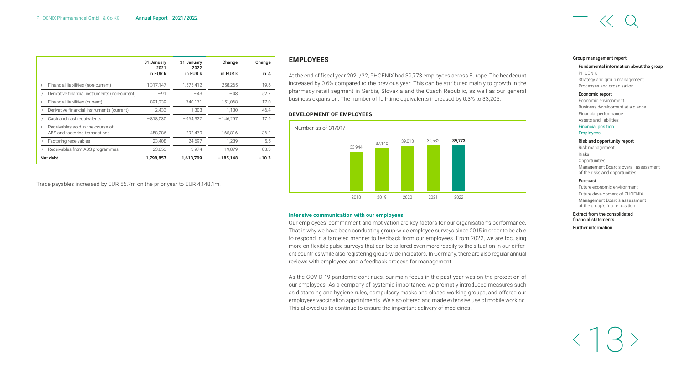<span id="page-13-0"></span>

|                                                  | 31 January<br>2021 | 31 January<br>2022 | Change     | Change  |
|--------------------------------------------------|--------------------|--------------------|------------|---------|
|                                                  | in EUR k           | in EUR k           | in EUR k   | in $%$  |
| Financial liabilities (non-current)<br>$\ddot{}$ | 1,317,147          | 1,575,412          | 258.265    | 19.6    |
| Derivative financial instruments (non-current)   | $-91$              | $-43$              | $-48$      | 52.7    |
| Financial liabilities (current)<br>$\ddot{}$     | 891.239            | 740.171            | $-151.068$ | $-17.0$ |
| Derivative financial instruments (current)       | $-2.433$           | $-1.303$           | 1.130      | $-46.4$ |
| Cash and cash equivalents                        | $-818.030$         | $-964.327$         | $-146.297$ | 17.9    |
| Receivables sold in the course of<br>$^{+}$      |                    |                    |            |         |
| ABS and factoring transactions                   | 458,286            | 292.470            | $-165.816$ | $-36.2$ |
| Factoring receivables                            | $-23.408$          | $-24.697$          | $-1.289$   | 5.5     |
| Receivables from ABS programmes                  | $-23,853$          | $-3.974$           | 19.879     | $-83.3$ |
| Net debt                                         | 1,798,857          | 1,613,709          | $-185,148$ | $-10.3$ |

Trade payables increased by EUR 56.7m on the prior year to EUR 4,148.1m.

#### **EMPLOYEES**

At the end of fiscal year 2021/22, PHOENIX had 39,773 employees across Europe. The headcount increased by 0.6% compared to the previous year. This can be attributed mainly to growth in the pharmacy retail segment in Serbia, Slovakia and the Czech Republic, as well as our general business expansion. The number of full-time equivalents increased by 0.3% to 33,205.

#### **DEVELOPMENT OF EMPLOYEES**



#### **Intensive communication with our employees**

Our employees' commitment and motivation are key factors for our organisation's performance. That is why we have been conducting group-wide employee surveys since 2015 in order to be able to respond in a targeted manner to feedback from our employees. From 2022, we are focusing more on flexible pulse surveys that can be tailored even more readily to the situation in our different countries while also registering group-wide indicators. In Germany, there are also regular annual reviews with employees and a feedback process for management.

As the COVID-19 pandemic continues, our main focus in the past year was on the protection of our employees. As a company of systemic importance, we promptly introduced measures such as distancing and hygiene rules, compulsory masks and closed working groups, and offered our employees vaccination appointments. We also offered and made extensive use of mobile working. This allowed us to continue to ensure the important delivery of medicines.

#### [Group management report](#page-2-0)

#### [Fundamental information about the group](#page-3-0) PHOENIX

[Strategy and group management](#page-5-0) [Processes and organisation](#page-6-0)

#### [Economic report](#page-7-0)

[Economic environment](#page-7-0)  [Business development at a glance](#page-8-0) [Financial performance](#page-9-0) [Assets and liabilities](#page-11-0) [Financial](#page-12-0) position

#### Employees

[Risk and opportunity report](#page-15-0)

[Risk management](#page-15-0) Risks **[Opportunities](#page-17-0)** [Management Board's overall assessment](#page-17-0)  of the risks and opportunities

#### [Forecast](#page-18-0)

[Future economic environment](#page-18-0) [Future development of PHOENIX](#page-18-0) [Management Board's assessment](#page-18-0)  of the group's future position

#### [Extract from the consolidated](#page-19-0)  financial statements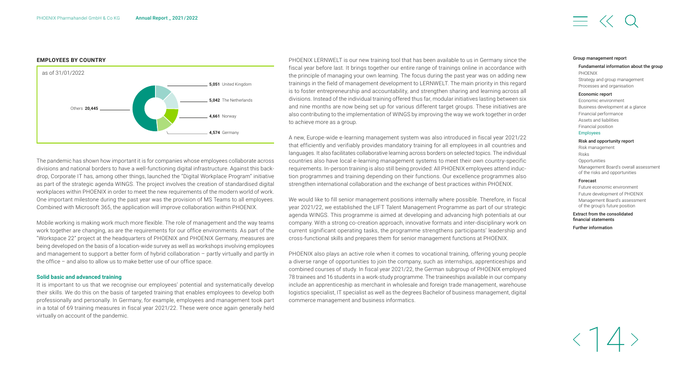#### **EMPLOYEES BY COUNTRY**



The pandemic has shown how important it is for companies whose employees collaborate across divisions and national borders to have a well-functioning digital infrastructure. Against this backdrop, Corporate IT has, among other things, launched the "Digital Workplace Program" initiative as part of the strategic agenda WINGS. The project involves the creation of standardised digital workplaces within PHOENIX in order to meet the new requirements of the modern world of work. One important milestone during the past year was the provision of MS Teams to all employees. Combined with Microsoft 365, the application will improve collaboration within PHOENIX.

Mobile working is making work much more flexible. The role of management and the way teams work together are changing, as are the requirements for our office environments. As part of the "Workspace 22" project at the headquarters of PHOENIX and PHOENIX Germany, measures are being developed on the basis of a location-wide survey as well as workshops involving employees and management to support a better form of hybrid collaboration – partly virtually and partly in the office – and also to allow us to make better use of our office space.

#### **Solid basic and advanced training**

It is important to us that we recognise our employees' potential and systematically develop their skills. We do this on the basis of targeted training that enables employees to develop both professionally and personally. In Germany, for example, employees and management took part in a total of 69 training measures in fiscal year 2021/22. These were once again generally held virtually on account of the pandemic.

PHOENIX LERNWELT is our new training tool that has been available to us in Germany since the fiscal year before last. It brings together our entire range of trainings online in accordance with the principle of managing your own learning. The focus during the past year was on adding new trainings in the field of management development to LERNWELT. The main priority in this regard is to foster entrepreneurship and accountability, and strengthen sharing and learning across all divisions. Instead of the individual training offered thus far, modular initiatives lasting between six and nine months are now being set up for various different target groups. These initiatives are also contributing to the implementation of WINGS by improving the way we work together in order to achieve more as a group.

A new, Europe-wide e-learning management system was also introduced in fiscal year 2021/22 that efficiently and verifiably provides mandatory training for all employees in all countries and languages. It also facilitates collaborative learning across borders on selected topics. The individual countries also have local e-learning management systems to meet their own country-specific requirements. In-person training is also still being provided: All PHOENIX employees attend induction programmes and training depending on their functions. Our excellence programmes also strengthen international collaboration and the exchange of best practices within PHOENIX.

We would like to fill senior management positions internally where possible. Therefore, in fiscal year 2021/22, we established the LIFT Talent Management Programme as part of our strategic agenda WINGS. This programme is aimed at developing and advancing high potentials at our company. With a strong co-creation approach, innovative formats and inter-disciplinary work on current significant operating tasks, the programme strengthens participants' leadership and cross-functional skills and prepares them for senior management functions at PHOENIX.

PHOENIX also plays an active role when it comes to vocational training, offering young people a diverse range of opportunities to join the company, such as internships, apprenticeships and combined courses of study. In fiscal year 2021/22, the German subgroup of PHOENIX employed 78 trainees and 16 students in a work-study programme. The traineeships available in our company include an apprenticeship as merchant in wholesale and foreign trade management, warehouse logistics specialist, IT specialist as well as the degrees Bachelor of business management, digital commerce management and business informatics.

#### [Group management report](#page-2-0)

#### [Fundamental information about the group](#page-3-0) PHOENIX [Strategy and group management](#page-5-0) [Processes and organisation](#page-6-0)

#### [Economic report](#page-7-0)

[Economic environment](#page-7-0)  [Business development at a glance](#page-8-0) [Financial performance](#page-9-0) [Assets and liabilities](#page-11-0) [Financial position](#page-12-0) [Employees](#page-13-0)

#### [Risk and opportunity report](#page-15-0)

[Risk management](#page-15-0) Risks **[Opportunities](#page-17-0)** [Management Board's overall assessment](#page-17-0)  of the risks and opportunities

#### [Forecast](#page-18-0)

[Future economic environment](#page-18-0) [Future development of PHOENIX](#page-18-0) [Management Board's assessment](#page-18-0)  of the group's future position

#### [Extract from the consolidated](#page-19-0)  financial statements

14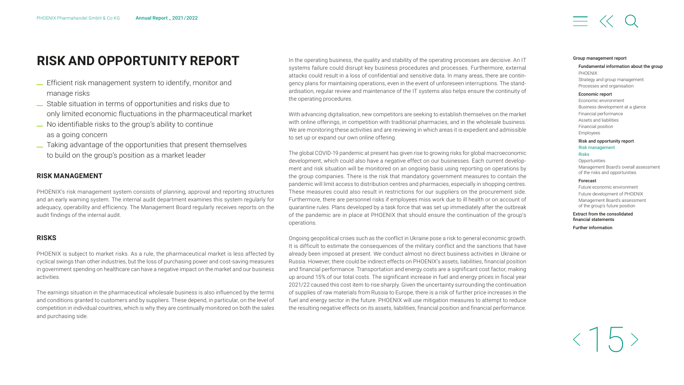## <span id="page-15-0"></span>**RISK AND OPPORTUNITY REPORT**

- \_ Efficient risk management system to identify, monitor and manage risks
- \_ Stable situation in terms of opportunities and risks due to only limited economic fluctuations in the pharmaceutical market
- \_ No identifiable risks to the group's ability to continue as a going concern
- \_ Taking advantage of the opportunities that present themselves to build on the group's position as a market leader

#### **RISK MANAGEMENT**

PHOENIX's risk management system consists of planning, approval and reporting structures and an early warning system. The internal audit department examines this system regularly for adequacy, operability and efficiency. The Management Board regularly receives reports on the audit findings of the internal audit.

#### **RISKS**

PHOENIX is subject to market risks. As a rule, the pharmaceutical market is less affected by cyclical swings than other industries, but the loss of purchasing power and cost-saving measures in government spending on healthcare can have a negative impact on the market and our business activities.

The earnings situation in the pharmaceutical wholesale business is also influenced by the terms and conditions granted to customers and by suppliers. These depend, in particular, on the level of competition in individual countries, which is why they are continually monitored on both the sales and purchasing side.

In the operating business, the quality and stability of the operating processes are decisive. An IT systems failure could disrupt key business procedures and processes. Furthermore, external attacks could result in a loss of confidential and sensitive data. In many areas, there are contingency plans for maintaining operations, even in the event of unforeseen interruptions. The standardisation, regular review and maintenance of the IT systems also helps ensure the continuity of the operating procedures.

With advancing digitalisation, new competitors are seeking to establish themselves on the market with online offerings, in competition with traditional pharmacies, and in the wholesale business. We are monitoring these activities and are reviewing in which areas it is expedient and admissible to set up or expand our own online offering.

The global COVID-19 pandemic at present has given rise to growing risks for global macroeconomic development, which could also have a negative effect on our businesses. Each current development and risk situation will be monitored on an ongoing basis using reporting on operations by the group companies. There is the risk that mandatory government measures to contain the pandemic will limit access to distribution centres and pharmacies, especially in shopping centres. These measures could also result in restrictions for our suppliers on the procurement side. Furthermore, there are personnel risks if employees miss work due to ill health or on account of quarantine rules. Plans developed by a task force that was set up immediately after the outbreak of the pandemic are in place at PHOENIX that should ensure the continuation of the group's operations.

Ongoing geopolitical crises such as the conflict in Ukraine pose a risk to general economic growth. It is difficult to estimate the consequences of the military conflict and the sanctions that have already been imposed at present. We conduct almost no direct business activities in Ukraine or Russia. However, there could be indirect effects on PHOENIX's assets, liabilities, financial position and financial performance. Transportation and energy costs are a significant cost factor, making up around 15% of our total costs. The significant increase in fuel and energy prices in fiscal year 2021/22 caused this cost item to rise sharply. Given the uncertainty surrounding the continuation of supplies of raw materials from Russia to Europe, there is a risk of further price increases in the fuel and energy sector in the future. PHOENIX will use mitigation measures to attempt to reduce the resulting negative effects on its assets, liabilities, financial position and financial performance.

#### [Group management report](#page-2-0)

#### [Fundamental information about the group](#page-3-0) PHOENIX [Strategy and group management](#page-5-0)

#### [Processes and organisation](#page-6-0) [Economic report](#page-7-0)

[Economic environment](#page-7-0)  [Business development at a glance](#page-8-0) [Financial performance](#page-9-0) [Assets and liabilities](#page-11-0) [Financial position](#page-12-0) [Employees](#page-13-0)

#### Risk and opportunity report Risk management

#### Risks

**[Opportunities](#page-17-0)** [Management Board's overall assessment](#page-17-0)  of the risks and opportunities

#### [Forecast](#page-18-0)

[Future economic environment](#page-18-0) [Future development of PHOENIX](#page-18-0) [Management Board's assessment](#page-18-0)  of the group's future position

#### [Extract from the consolidated](#page-19-0)  financial statements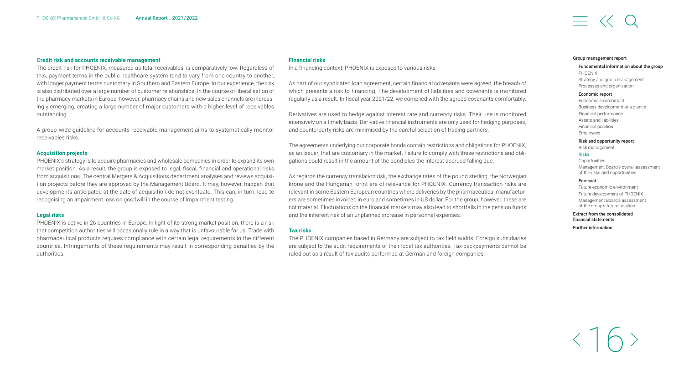#### **Credit risk and accounts receivable management**

The credit risk for PHOENIX, measured as total receivables, is comparatively low. Regardless of this, payment terms in the public healthcare system tend to vary from one country to another, with longer payment terms customary in Southern and Eastern Europe. In our experience, the risk is also distributed over a large number of customer relationships. In the course of liberalisation of the pharmacy markets in Europe, however, pharmacy chains and new sales channels are increasingly emerging, creating a large number of major customers with a higher level of receivables outstanding.

A group-wide guideline for accounts receivable management aims to systematically monitor receivables risks.

#### **Acquisition projects**

PHOENIX's strategy is to acquire pharmacies and wholesale companies in order to expand its own market position. As a result, the group is exposed to legal, fiscal, financial and operational risks from acquisitions. The central Mergers & Acquisitions department analyses and reviews acquisition projects before they are approved by the Management Board. It may, however, happen that developments anticipated at the date of acquisition do not eventuate. This can, in turn, lead to recognising an impairment loss on goodwill in the course of impairment testing.

#### **Legal risks**

PHOENIX is active in 26 countries in Europe. In light of its strong market position, there is a risk that competition authorities will occasionally rule in a way that is unfavourable for us. Trade with pharmaceutical products requires compliance with certain legal requirements in the different countries. Infringements of these requirements may result in corresponding penalties by the authorities.

#### **Financial risks**

In a financing context, PHOENIX is exposed to various risks.

As part of our syndicated loan agreement, certain financial covenants were agreed, the breach of which presents a risk to financing. The development of liabilities and covenants is monitored regularly as a result. In fiscal year 2021/22, we complied with the agreed covenants comfortably.

Derivatives are used to hedge against interest rate and currency risks. Their use is monitored intensively on a timely basis. Derivative financial instruments are only used for hedging purposes, and counterparty risks are minimised by the careful selection of trading partners.

The agreements underlying our corporate bonds contain restrictions and obligations for PHOENIX, as an issuer, that are customary in the market. Failure to comply with these restrictions and obligations could result in the amount of the bond plus the interest accrued falling due.

As regards the currency translation risk, the exchange rates of the pound sterling, the Norwegian krone and the Hungarian forint are of relevance for PHOENIX. Currency transaction risks are relevant in some Eastern European countries where deliveries by the pharmaceutical manufacturers are sometimes invoiced in euro and sometimes in US dollar. For the group, however, these are not material. Fluctuations on the financial markets may also lead to shortfalls in the pension funds and the inherent risk of an unplanned increase in personnel expenses.

#### **Tax risks**

The PHOENIX companies based in Germany are subject to tax field audits. Foreign subsidiaries are subject to the audit requirements of their local tax authorities. Tax backpayments cannot be ruled out as a result of tax audits performed at German and foreign companies.

#### [Group management report](#page-2-0)

#### [Fundamental information about the group](#page-3-0) PHOENIX [Strategy and group management](#page-5-0) [Processes and organisation](#page-6-0)

#### [Economic report](#page-7-0)

[Economic environment](#page-7-0)  [Business development at a glance](#page-8-0) [Financial performance](#page-9-0) [Assets and liabilities](#page-11-0) [Financial position](#page-12-0) [Employees](#page-13-0)

#### [Risk and opportunity report](#page-15-0)

[Risk management](#page-15-0)

#### Risks

**[Opportunities](#page-17-0)** [Management Board's overall assessment](#page-17-0)  of the risks and opportunities

#### [Forecast](#page-18-0)

[Future economic environment](#page-18-0) [Future development of PHOENIX](#page-18-0) [Management Board's assessment](#page-18-0)  of the group's future position

#### [Extract from the consolidated](#page-19-0)  financial statements

16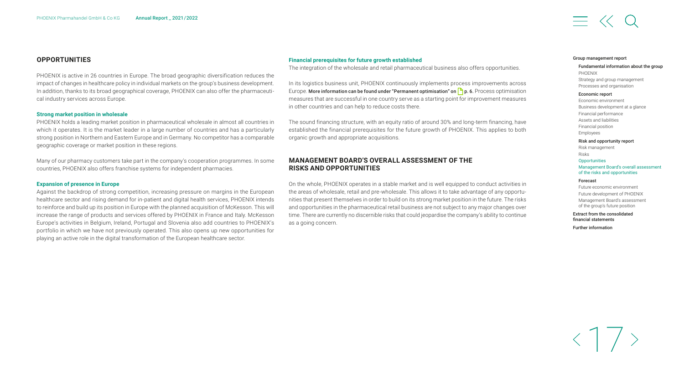#### <span id="page-17-0"></span>**OPPORTUNITIES**

PHOENIX is active in 26 countries in Europe. The broad geographic diversification reduces the impact of changes in healthcare policy in individual markets on the group's business development. In addition, thanks to its broad geographical coverage, PHOENIX can also offer the pharmaceutical industry services across Europe.

#### **Strong market position in wholesale**

PHOENIX holds a leading market position in pharmaceutical wholesale in almost all countries in which it operates. It is the market leader in a large number of countries and has a particularly strong position in Northern and Eastern Europe and in Germany. No competitor has a comparable geographic coverage or market position in these regions.

Many of our pharmacy customers take part in the company's cooperation programmes. In some countries, PHOENIX also offers franchise systems for independent pharmacies.

#### **Expansion of presence in Europe**

Against the backdrop of strong competition, increasing pressure on margins in the European healthcare sector and rising demand for in-patient and digital health services, PHOENIX intends to reinforce and build up its position in Europe with the planned acquisition of McKesson. This will increase the range of products and services offered by PHOENIX in France and Italy. McKesson Europe's activities in Belgium, Ireland, Portugal and Slovenia also add countries to PHOENIX's portfolio in which we have not previously operated. This also opens up new opportunities for playing an active role in the digital transformation of the European healthcare sector.

#### **Financial prerequisites for future growth established**

The integration of the wholesale and retail pharmaceutical business also offers opportunities.

In its logistics business unit, PHOENIX continuously implements process improvements across Europe. More information can be found under "Permanent optimisation" on  $\bigcap p$ . 6. Process optimisation measures that are successful in one country serve as a starting point for improvement measures in other countries and can help to reduce costs there.

The sound financing structure, with an equity ratio of around 30% and long-term financing, have established the financial prerequisites for the future growth of PHOENIX. This applies to both organic growth and appropriate acquisitions.

#### **MANAGEMENT BOARD'S OVERALL ASSESSMENT OF THE RISKS AND OPPORTUNITIES**

On the whole, PHOENIX operates in a stable market and is well equipped to conduct activities in the areas of wholesale, retail and pre-wholesale. This allows it to take advantage of any opportunities that present themselves in order to build on its strong market position in the future. The risks and opportunities in the pharmaceutical retail business are not subject to any major changes over time. There are currently no discernible risks that could jeopardise the company's ability to continue as a going concern.

#### [Group management report](#page-2-0)

#### [Fundamental information about the group](#page-3-0) PHOENIX [Strategy and group management](#page-5-0) [Processes and organisation](#page-6-0)

#### [Economic report](#page-7-0)

[Economic environment](#page-7-0)  [Business development at a glance](#page-8-0) [Financial performance](#page-9-0) [Assets and liabilities](#page-11-0) [Financial position](#page-12-0) [Employees](#page-13-0)

#### [Risk and opportunity report](#page-15-0)

[Risk management](#page-15-0) Risks **Opportunities**  Management Board's overall assessment of the risks and opportunities

#### [Forecast](#page-18-0)

[Future economic environment](#page-18-0) [Future development of PHOENIX](#page-18-0) [Management Board's assessment](#page-18-0)  of the group's future position

[Extract from the consolidated](#page-19-0)  financial statements

[Further information](#page-24-0)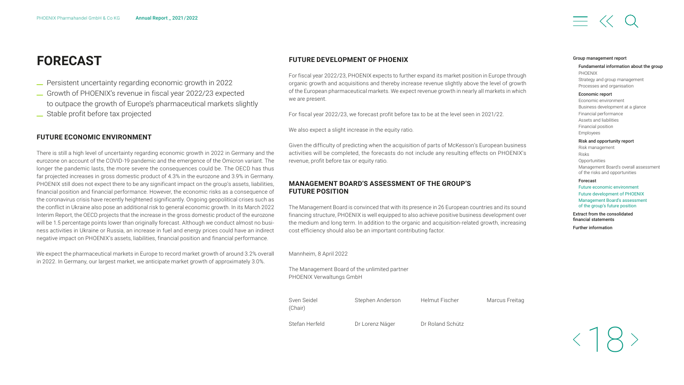# <span id="page-18-0"></span>**FORECAST**

- \_ Persistent uncertainty regarding economic growth in <sup>2022</sup>
- \_ Growth of PHOENIX's revenue in fiscal year 2022/23 expected to outpace the growth of Europe's pharmaceutical markets slightly
- \_ Stable profit before tax projected

#### **FUTURE ECONOMIC ENVIRONMENT**

There is still a high level of uncertainty regarding economic growth in 2022 in Germany and the eurozone on account of the COVID-19 pandemic and the emergence of the Omicron variant. The longer the pandemic lasts, the more severe the consequences could be. The OECD has thus far projected increases in gross domestic product of 4.3% in the eurozone and 3.9% in Germany. PHOENIX still does not expect there to be any significant impact on the group's assets, liabilities, financial position and financial performance. However, the economic risks as a consequence of the coronavirus crisis have recently heightened significantly. Ongoing geopolitical crises such as the conflict in Ukraine also pose an additional risk to general economic growth. In its March 2022 Interim Report, the OECD projects that the increase in the gross domestic product of the eurozone will be 1.5 percentage points lower than originally forecast. Although we conduct almost no business activities in Ukraine or Russia, an increase in fuel and energy prices could have an indirect negative impact on PHOENIX's assets, liabilities, financial position and financial performance.

We expect the pharmaceutical markets in Europe to record market growth of around 3.2% overall in 2022. In Germany, our largest market, we anticipate market growth of approximately 3.0%.

#### **FUTURE DEVELOPMENT OF PHOENIX**

For fiscal year 2022/23, PHOENIX expects to further expand its market position in Europe through organic growth and acquisitions and thereby increase revenue slightly above the level of growth of the European pharmaceutical markets. We expect revenue growth in nearly all markets in which we are present.

For fiscal year 2022/23, we forecast profit before tax to be at the level seen in 2021/22.

We also expect a slight increase in the equity ratio.

Given the difficulty of predicting when the acquisition of parts of McKesson's European business activities will be completed, the forecasts do not include any resulting effects on PHOENIX's revenue, profit before tax or equity ratio.

#### **MANAGEMENT BOARD'S ASSESSMENT OF THE GROUP'S FUTURE POSITION**

The Management Board is convinced that with its presence in 26 European countries and its sound financing structure, PHOENIX is well equipped to also achieve positive business development over the medium and long term. In addition to the organic and acquisition-related growth, increasing cost efficiency should also be an important contributing factor.

#### Mannheim, 8 April 2022

The Management Board of the unlimited partner PHOENIX Verwaltungs GmbH



Stefan Herfeld Dr Lorenz Näger Dr Roland Schütz

#### [Group management report](#page-2-0)

#### [Fundamental information about the group](#page-3-0) PHOENIX [Strategy and group management](#page-5-0) [Processes and organisation](#page-6-0)

#### [Economic report](#page-7-0)

[Economic environment](#page-7-0)  [Business development at a glance](#page-8-0) [Financial performance](#page-9-0) [Assets and liabilities](#page-11-0) [Financial position](#page-12-0) [Employees](#page-13-0) [Risk and opportunity report](#page-15-0)

#### [Risk management](#page-15-0)

Risks **[Opportunities](#page-17-0)** [Management Board's overall assessment](#page-17-0)  of the risks and opportunities

#### Forecast

Future economic environment Future development of PHOENIX Management Board's assessment of the group's future position

[Extract from the consolidated](#page-19-0)  financial statements

[Further information](#page-24-0)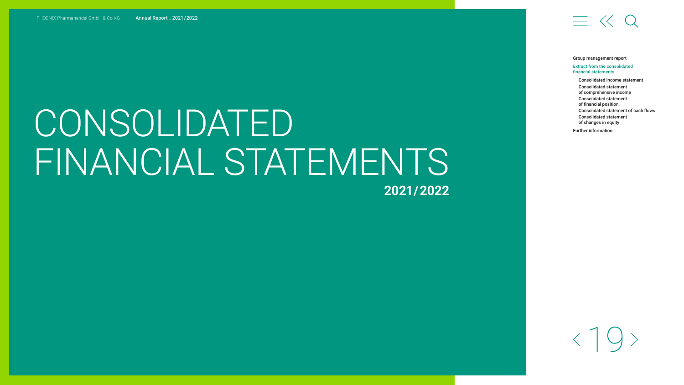# <span id="page-19-0"></span>CONSOLIDATED

# FINANCIAL STATEMENTS

**2021 / 2022**

# $\equiv$   $\ll$  Q

[Group management report](#page-2-0)

#### Extract from the consolidated financial statements

[Consolidated income statement](#page-20-0) Consolidated statement [of comprehensive income](#page-20-0) [Consolidated statement](#page-21-0)  of financial position [Consolidated statement of cash flows](#page-22-0) [Consolidated statement](#page-23-0)  of changes in equity [Further information](#page-24-0)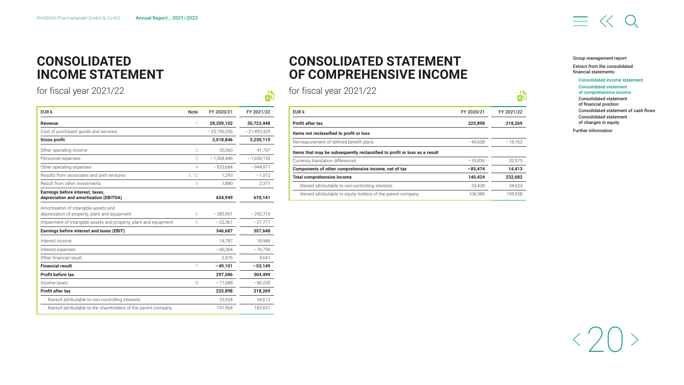## <span id="page-20-0"></span>**CONSOLIDATED INCOME STATEMENT**

for fiscal year 2021/22

| EUR k                                                                                  | <b>Note</b>    | FY 2020/21    | FY 2021/22    |
|----------------------------------------------------------------------------------------|----------------|---------------|---------------|
| <b>Revenue</b>                                                                         | 1              | 28,209,102    | 30,723,448    |
| Cost of purchased goods and services                                                   |                | $-25.190.256$ | $-27.493.329$ |
| <b>Gross profit</b>                                                                    |                | 3,018,846     | 3,230,119     |
| Other operating income                                                                 | $\overline{2}$ | 35,060        | 41,787        |
| Personnel expenses                                                                     | 3              | $-1.568.446$  | $-1.658.153$  |
| Other operating expenses                                                               | 4              | $-833,684$    | $-944,971$    |
| Results from associates and joint ventures                                             | 5, 12          | 1,293         | $-1,012$      |
| Result from other investments                                                          | 5              | 1,880         | 2,371         |
| Earnings before interest, taxes,<br>depreciation and amortisation (EBITDA)             |                | 654,949       | 670,141       |
| Amortisation of intangible assets and<br>depreciation of property, plant and equipment | 6              | $-285.901$    | $-290,716$    |
| Impairment of intangible assets and property, plant and equipment                      | 6              | $-22.361$     | $-21,777$     |
| Earnings before interest and taxes (EBIT)                                              |                | 346,687       | 357,648       |
| Interest income                                                                        |                | 14.787        | 18.946        |
| Interest expenses                                                                      |                | $-66.364$     | $-76.736$     |
| Other financial result                                                                 |                | 2.476         | 4.641         |
| <b>Financial result</b>                                                                | 7              | $-49,101$     | $-53,149$     |
| Profit before tax                                                                      |                | 297,586       | 304,499       |
| Income taxes                                                                           | 8              | $-71,688$     | $-86,230$     |
| <b>Profit after tax</b>                                                                |                | 225,898       | 218,269       |
| thereof attributable to non-controlling interests                                      |                | 33,934        | 34,612        |
| thereof attributable to the shareholders of the parent company                         |                | 191,964       | 183,657       |

# **CONSOLIDATED STATEMENT OF COMPREHENSIVE INCOME**

for fiscal year 2021/22

 $\frac{1}{\sqrt{2}}$ 

| EUR k                                                                     | FY 2020/21 | FY 2021/22 |  |
|---------------------------------------------------------------------------|------------|------------|--|
| <b>Profit after tax</b>                                                   | 225,898    | 218,269    |  |
| Items not reclassified to profit or loss                                  |            |            |  |
| Remeasurement of defined benefit plans                                    | $-49.638$  | $-18.162$  |  |
| Items that may be subsequently reclassified to profit or loss as a result |            |            |  |
| Currency translation differences                                          | $-35.836$  | 32.575     |  |
| Components of other comprehensive income, net of tax                      | $-85.474$  | 14,413     |  |
| Total comprehensive income                                                | 140,424    | 232,682    |  |
| thereof attributable to non-controlling interests                         | 33.438     | 34.624     |  |
| thereof attributable to equity holders of the parent company              | 106.986    | 198.058    |  |

#### [Group management report](#page-2-0)

喦

[Extract from the consolidated](#page-19-0)  financial statements

Consolidated income statement Consolidated statement of comprehensive income [Consolidated statement](#page-21-0)  of financial position [Consolidated statement of cash flows](#page-22-0) [Consolidated statement](#page-23-0)  of changes in equity [Further information](#page-24-0)



# $\equiv$   $\ll$  0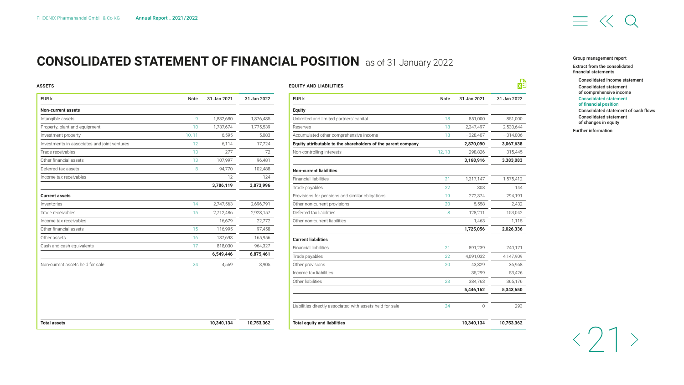# <span id="page-21-0"></span>**CONSOLIDATED STATEMENT OF FINANCIAL POSITION** as of 31 January 2022

#### **ASSETS**

| EUR k                                        | <b>Note</b> | 31 Jan 2021 | 31 Jan 2022 |
|----------------------------------------------|-------------|-------------|-------------|
| <b>Non-current assets</b>                    |             |             |             |
| Intangible assets                            | 9           | 1,832,680   | 1,876,485   |
| Property, plant and equipment                | 10          | 1,737,674   | 1,775,539   |
| Investment property                          | 10, 11      | 6,595       | 5,083       |
| Investments in associates and joint ventures | 12          | 6,114       | 17,724      |
| Trade receivables                            | 13          | 277         | 72          |
| Other financial assets                       | 13          | 107,997     | 96,481      |
| Deferred tax assets                          | 8           | 94,770      | 102,488     |
| Income tax receivables                       |             | 12          | 124         |
|                                              |             | 3,786,119   | 3,873,996   |
| <b>Current assets</b>                        |             |             |             |
| Inventories                                  | 14          | 2,747,563   | 2,696,791   |
| Trade receivables                            | 15          | 2,712,486   | 2,928,157   |
| Income tax receivables                       |             | 16,679      | 22,772      |
| Other financial assets                       | 15          | 116,995     | 97,458      |
| Other assets                                 | 16          | 137,693     | 165,956     |
| Cash and cash equivalents                    | 17          | 818,030     | 964,327     |
|                                              |             | 6,549,446   | 6,875,461   |
| Non-current assets held for sale             | 24          | 4,569       | 3,905       |
|                                              |             |             |             |
| <b>Total assets</b>                          |             | 10,340,134  | 10,753,362  |

| EUR k                                                         | <b>Note</b> | 31 Jan 2021 | 31 Jan 2022 |
|---------------------------------------------------------------|-------------|-------------|-------------|
| <b>Equity</b>                                                 |             |             |             |
| Unlimited and limited partners' capital                       | 18          | 851,000     | 851,000     |
| Reserves                                                      | 18          | 2,347,497   | 2,530,644   |
| Accumulated other comprehensive income                        | 18          | $-328,407$  | $-314,006$  |
| Equity attributable to the shareholders of the parent company |             | 2,870,090   | 3,067,638   |
| Non-controlling interests                                     | 12, 18      | 298,826     | 315,445     |
|                                                               |             | 3,168,916   | 3,383,083   |
| <b>Non-current liabilities</b>                                |             |             |             |
| <b>Financial liabilities</b>                                  | 21          | 1,317,147   | 1,575,412   |
| Trade payables                                                | 22          | 303         | 144         |
| Provisions for pensions and similar obligations               | 19          | 272,374     | 294,191     |
| Other non-current provisions                                  | 20          | 5,558       | 2,432       |
| Deferred tax liabilities                                      | 8           | 128,211     | 153,042     |
| Other non-current liabilities                                 |             | 1,463       | 1,115       |
|                                                               |             | 1,725,056   | 2,026,336   |
| <b>Current liabilities</b>                                    |             |             |             |
| <b>Financial liabilities</b>                                  | 21          | 891,239     | 740,171     |
| Trade payables                                                | 22          | 4,091,032   | 4,147,909   |
| Other provisions                                              | 20          | 43,829      | 36,968      |
| Income tax liabilities                                        |             | 35,299      | 53,426      |
| Other liabilities                                             | 23          | 384,763     | 365,176     |
|                                                               |             | 5,446,162   | 5,343,650   |
| Liabilities directly associated with assets held for sale     | 24          | 0           | 293         |
| <b>Total equity and liabilities</b>                           |             | 10,340,134  | 10,753,362  |

# $\equiv$   $\ll$

[Group management report](#page-2-0)

[Extract from the consolidated](#page-19-0)  financial statements

[Consolidated income statement](#page-20-0) Consolidated statement [of comprehensive income](#page-20-0) Consolidated statement of financial position [Consolidated statement of cash flows](#page-22-0) [Consolidated statement](#page-23-0)  of changes in equity

[Further information](#page-24-0)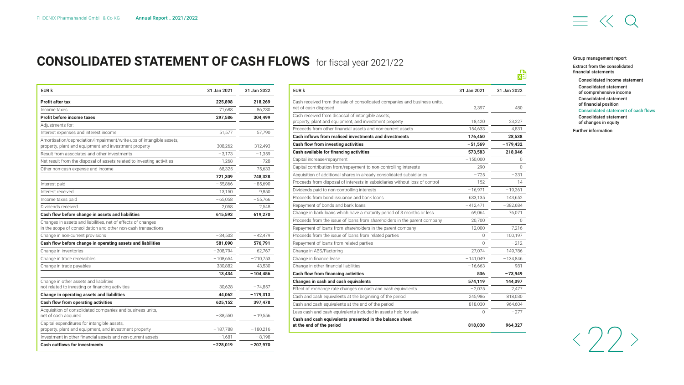# $\equiv$   $\ll$

# <span id="page-22-0"></span>**CONSOLIDATED STATEMENT OF CASH FLOWS** for fiscal year 2021/22

| EUR k                                                                                                                          | 31 Jan 2021 | 31 Jan 2022 |
|--------------------------------------------------------------------------------------------------------------------------------|-------------|-------------|
| Profit after tax                                                                                                               | 225,898     | 218,269     |
| Income taxes                                                                                                                   | 71,688      | 86,230      |
| Profit before income taxes                                                                                                     | 297,586     | 304,499     |
| Adjustments for:                                                                                                               |             |             |
| Interest expenses and interest income                                                                                          | 51,577      | 57,790      |
| Amortisation/depreciation/impairment/write-ups of intangible assets,<br>property, plant and equipment and investment property  | 308,262     | 312,493     |
| Result from associates and other investments                                                                                   | $-3,173$    | $-1,359$    |
| Net result from the disposal of assets related to investing activities                                                         | $-1,268$    | $-728$      |
| Other non-cash expense and income                                                                                              | 68,325      | 75.633      |
|                                                                                                                                | 721,309     | 748,328     |
| Interest paid                                                                                                                  | $-55,866$   | $-85,690$   |
| Interest received                                                                                                              | 13,150      | 9,850       |
| Income taxes paid                                                                                                              | $-65,058$   | $-55,766$   |
| Dividends received                                                                                                             | 2,058       | 2,548       |
| Cash flow before change in assets and liabilities                                                                              | 615,593     | 619,270     |
| Changes in assets and liabilities, net of effects of changes<br>in the scope of consolidation and other non-cash transactions: |             |             |
| Change in non-current provisions                                                                                               | $-34,503$   | $-42,479$   |
| Cash flow before change in operating assets and liabilities                                                                    | 581,090     | 576,791     |
| Change in inventories                                                                                                          | $-208,794$  | 62,767      |
| Change in trade receivables                                                                                                    | $-108,654$  | $-210,753$  |
| Change in trade payables                                                                                                       | 330,882     | 43,530      |
|                                                                                                                                | 13,434      | $-104,456$  |
| Change in other assets and liabilities                                                                                         |             |             |
| not related to investing or financing activities                                                                               | 30,628      | $-74,857$   |
| Change in operating assets and liabilities                                                                                     | 44,062      | $-179,313$  |
| Cash flow from operating activities                                                                                            | 625,152     | 397,478     |
| Acquisition of consolidated companies and business units,<br>net of cash acquired                                              | $-38,550$   | $-19,556$   |
| Capital expenditures for intangible assets,<br>property, plant and equipment, and investment property                          | $-187,788$  | $-180,216$  |
| Investment in other financial assets and non-current assets                                                                    | $-1,681$    | $-8,198$    |
| <b>Cash outflows for investments</b>                                                                                           | $-228,019$  | $-207,970$  |

| EUR k                                                                                             | 31 Jan 2021 | 31 Jan 2022 |
|---------------------------------------------------------------------------------------------------|-------------|-------------|
| Cash received from the sale of consolidated companies and business units,<br>net of cash disposed | 3.397       | 480         |
| Cash received from disposal of intangible assets,                                                 |             |             |
| property, plant and equipment, and investment property                                            | 18,420      | 23,227      |
| Proceeds from other financial assets and non-current assets                                       | 154.633     | 4.831       |
| Cash inflows from realised investments and divestments                                            | 176,450     | 28,538      |
| Cash flow from investing activities                                                               | $-51,569$   | $-179,432$  |
| Cash available for financing activities                                                           | 573,583     | 218,046     |
| Capital increase/repayment                                                                        | $-150,000$  | O           |
| Capital contribution from/repayment to non-controlling interests                                  | 290         | $\Omega$    |
| Acquisition of additional shares in already consolidated subsidiaries                             | $-725$      | -331        |
| Proceeds from disposal of interests in subsidiaries without loss of control                       | 152         | 14          |
| Dividends paid to non-controlling interests                                                       | $-16,971$   | $-19.361$   |
| Proceeds from bond issuance and bank loans                                                        | 633,135     | 143,652     |
| Repayment of bonds and bank loans                                                                 | $-412,471$  | $-382,684$  |
| Change in bank loans which have a maturity period of 3 months or less                             | 69,064      | 76,071      |
| Proceeds from the issue of loans from shareholders in the parent company                          | 20,700      | O           |
| Repayment of loans from shareholders in the parent company                                        | $-12,000$   | $-7.216$    |
| Proceeds from the issue of loans from related parties                                             | $\Omega$    | 100,197     |
| Repayment of loans from related parties                                                           | $\cap$      | $-212$      |
| Change in ABS/Factoring                                                                           | 27,074      | 149,786     |
| Change in finance lease                                                                           | $-141,049$  | $-134,846$  |
| Change in other financial liabilities                                                             | $-16,663$   | 981         |
| Cash flow from financing activities                                                               | 536         | $-73,949$   |
| Changes in cash and cash equivalents                                                              | 574,119     | 144,097     |
| Effect of exchange rate changes on cash and cash equivalents                                      | $-2.075$    | 2,477       |
| Cash and cash equivalents at the beginning of the period                                          | 245,986     | 818,030     |
| Cash and cash equivalents at the end of the period                                                | 818,030     | 964,604     |
| Less cash and cash equivalents included in assets held for sale                                   | $\Omega$    | $-277$      |
| Cash and cash equivalents presented in the balance sheet<br>at the end of the period              | 818,030     | 964,327     |

#### [Group management report](#page-2-0)

喦

[Extract from the consolidated](#page-19-0)  financial statements

[Consolidated income statement](#page-20-0) Consolidated statement [of comprehensive income](#page-20-0) [Consolidated statement](#page-21-0)  of financial position Consolidated statement of cash flows

[Consolidated statement](#page-23-0)  of changes in equity [Further information](#page-24-0)

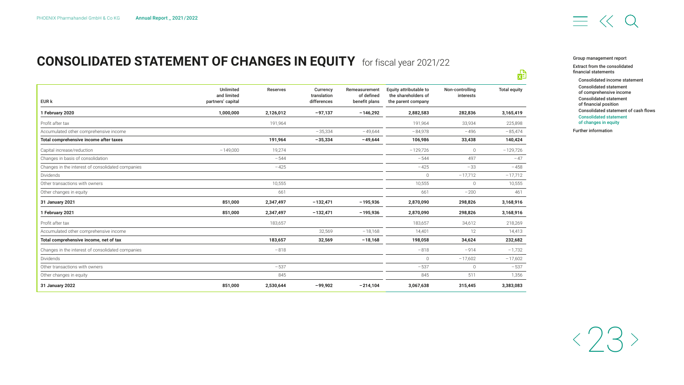# <span id="page-23-0"></span>**CONSOLIDATED STATEMENT OF CHANGES IN EQUITY**  for fiscal year 2021/22

| EUR k                                             | Unlimited<br>and limited<br>partners' capital | <b>Reserves</b> | Currency<br>translation<br>differences | Remeasurement<br>of defined<br>benefit plans | Equity attributable to<br>the shareholders of<br>the parent company | Non-controlling<br>interests | <b>Total equity</b> |
|---------------------------------------------------|-----------------------------------------------|-----------------|----------------------------------------|----------------------------------------------|---------------------------------------------------------------------|------------------------------|---------------------|
| 1 February 2020                                   | 1,000,000                                     | 2,126,012       | $-97,137$                              | $-146,292$                                   | 2,882,583                                                           | 282,836                      | 3,165,419           |
| Profit after tax                                  |                                               | 191,964         |                                        |                                              | 191.964                                                             | 33,934                       | 225,898             |
| Accumulated other comprehensive income            |                                               |                 | $-35,334$                              | $-49.644$                                    | $-84,978$                                                           | $-496$                       | $-85,474$           |
| Total comprehensive income after taxes            |                                               | 191,964         | $-35,334$                              | $-49,644$                                    | 106,986                                                             | 33,438                       | 140,424             |
| Capital increase/reduction                        | $-149,000$                                    | 19,274          |                                        |                                              | $-129,726$                                                          | $\circ$                      | $-129,726$          |
| Changes in basis of consolidation                 |                                               | $-544$          |                                        |                                              | $-544$                                                              | 497                          | $-47$               |
| Changes in the interest of consolidated companies |                                               | $-425$          |                                        |                                              | $-425$                                                              | $-33$                        | $-458$              |
| Dividends                                         |                                               |                 |                                        |                                              | $\mathbf{0}$                                                        | $-17,712$                    | $-17,712$           |
| Other transactions with owners                    |                                               | 10,555          |                                        |                                              | 10,555                                                              | $\mathbf{0}$                 | 10,555              |
| Other changes in equity                           |                                               | 661             |                                        |                                              | 661                                                                 | $-200$                       | 461                 |
| 31 January 2021                                   | 851,000                                       | 2,347,497       | $-132,471$                             | $-195,936$                                   | 2,870,090                                                           | 298,826                      | 3,168,916           |
| 1 February 2021                                   | 851,000                                       | 2,347,497       | $-132,471$                             | $-195,936$                                   | 2,870,090                                                           | 298,826                      | 3,168,916           |
| Profit after tax                                  |                                               | 183.657         |                                        |                                              | 183.657                                                             | 34,612                       | 218,269             |
| Accumulated other comprehensive income            |                                               |                 | 32,569                                 | $-18,168$                                    | 14,401                                                              | 12                           | 14,413              |
| Total comprehensive income, net of tax            |                                               | 183.657         | 32,569                                 | $-18,168$                                    | 198,058                                                             | 34,624                       | 232,682             |
| Changes in the interest of consolidated companies |                                               | $-818$          |                                        |                                              | $-818$                                                              | $-914$                       | $-1,732$            |
| Dividends                                         |                                               |                 |                                        |                                              | $\mathbf{0}$                                                        | $-17,602$                    | $-17,602$           |
| Other transactions with owners                    |                                               | $-537$          |                                        |                                              | $-537$                                                              | 0                            | $-537$              |
| Other changes in equity                           |                                               | 845             |                                        |                                              | 845                                                                 | 511                          | 1,356               |
| 31 January 2022                                   | 851,000                                       | 2,530,644       | $-99,902$                              | $-214,104$                                   | 3,067,638                                                           | 315,445                      | 3,383,083           |

#### [Group management report](#page-2-0)

喦

[Extract from the consolidated](#page-19-0)  financial statements

[Consolidated income statement](#page-20-0) Consolidated statement [of comprehensive income](#page-20-0) [Consolidated statement](#page-21-0)  of financial position [Consolidated statement of cash flows](#page-22-0) Consolidated statement of changes in equity

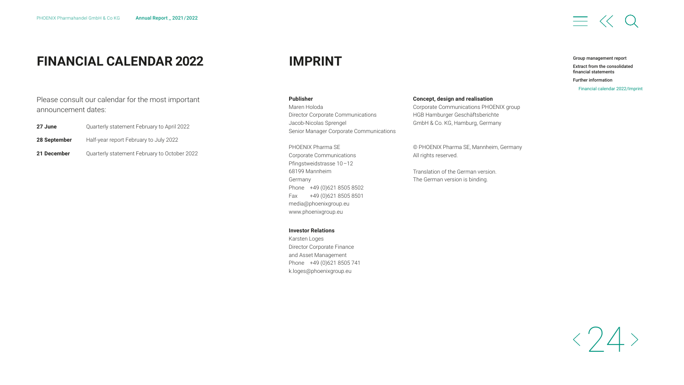## <span id="page-24-0"></span>**FINANCIAL CALENDAR 2022 IMPRINT**

Please consult our calendar for the most important announcement dates:

| 27 June      | Quarterly statement February to April 2022 |
|--------------|--------------------------------------------|
| 28 September | Half-year report February to July 2022     |

**21 December** Quarterly statement February to October 2022

**Publisher** Maren Holoda Director Corporate Communications Jacob-Nicolas Sprengel Senior Manager Corporate Communications

PHOENIX Pharma SE Corporate Communications Pfingstweidstrasse 10 –12 68199 Mannheim Germany Phone +49 (0)621 8505 8502 Fax +49 (0)621 8505 8501 [media@phoenixgroup.eu](mailto:media%40phoenixgroup.eu?subject=) [www.phoenixgroup.eu](http://www.phoenixgroup.eu)

#### **Investor Relations**

Karsten Loges Director Corporate Finance and Asset Management Phone +49 (0)621 8505 741 [k.loges@phoenixgroup.eu](mailto:k.loges%40phoenixgroup.eu?subject=)

#### **Concept, design and realisation**

Corporate Communications PHOENIX group HGB Hamburger Geschäftsberichte GmbH & Co. KG, Hamburg, Germany

© PHOENIX Pharma SE, Mannheim, Germany All rights reserved.

Translation of the German version. The German version is binding.

#### [Group management report](#page-2-0)

 $\equiv$   $\langle\langle$ 

[Extract from the consolidated](#page-19-0)  financial statements

Further information

Financial calendar 2022/Imprint